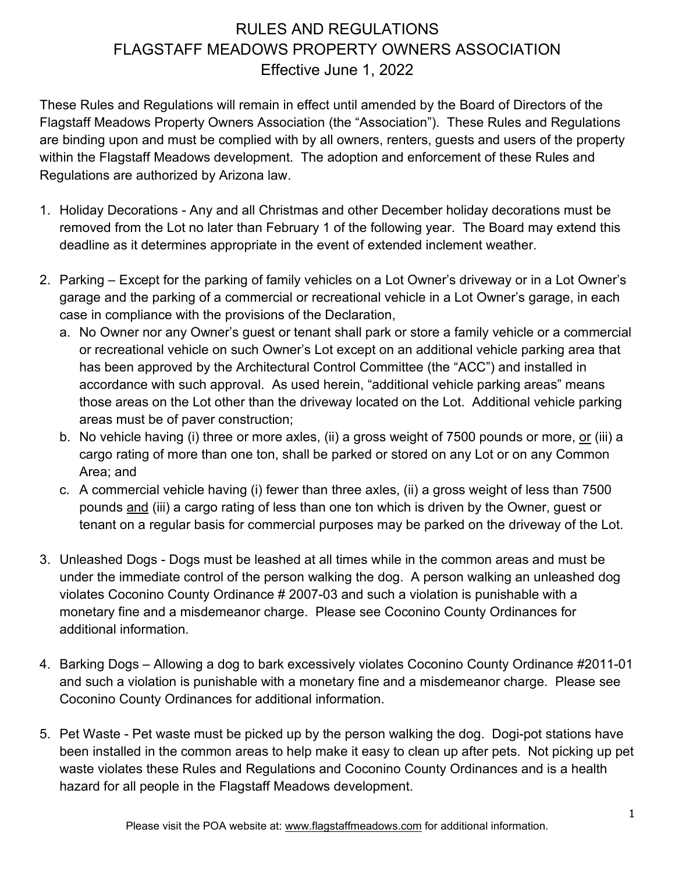## RULES AND REGULATIONS FLAGSTAFF MEADOWS PROPERTY OWNERS ASSOCIATION Effective June 1, 2022

These Rules and Regulations will remain in effect until amended by the Board of Directors of the Flagstaff Meadows Property Owners Association (the "Association"). These Rules and Regulations are binding upon and must be complied with by all owners, renters, guests and users of the property within the Flagstaff Meadows development. The adoption and enforcement of these Rules and Regulations are authorized by Arizona law.

- 1. Holiday Decorations Any and all Christmas and other December holiday decorations must be removed from the Lot no later than February 1 of the following year. The Board may extend this deadline as it determines appropriate in the event of extended inclement weather.
- 2. Parking Except for the parking of family vehicles on a Lot Owner's driveway or in a Lot Owner's garage and the parking of a commercial or recreational vehicle in a Lot Owner's garage, in each case in compliance with the provisions of the Declaration,
	- a. No Owner nor any Owner's guest or tenant shall park or store a family vehicle or a commercial or recreational vehicle on such Owner's Lot except on an additional vehicle parking area that has been approved by the Architectural Control Committee (the "ACC") and installed in accordance with such approval. As used herein, "additional vehicle parking areas" means those areas on the Lot other than the driveway located on the Lot. Additional vehicle parking areas must be of paver construction;
	- b. No vehicle having (i) three or more axles, (ii) a gross weight of 7500 pounds or more, or (iii) a cargo rating of more than one ton, shall be parked or stored on any Lot or on any Common Area; and
	- c. A commercial vehicle having (i) fewer than three axles, (ii) a gross weight of less than 7500 pounds and (iii) a cargo rating of less than one ton which is driven by the Owner, guest or tenant on a regular basis for commercial purposes may be parked on the driveway of the Lot.
- 3. Unleashed Dogs Dogs must be leashed at all times while in the common areas and must be under the immediate control of the person walking the dog. A person walking an unleashed dog violates Coconino County Ordinance # 2007-03 and such a violation is punishable with a monetary fine and a misdemeanor charge. Please see Coconino County Ordinances for additional information.
- 4. Barking Dogs Allowing a dog to bark excessively violates Coconino County Ordinance #2011-01 and such a violation is punishable with a monetary fine and a misdemeanor charge. Please see Coconino County Ordinances for additional information.
- 5. Pet Waste Pet waste must be picked up by the person walking the dog. Dogi-pot stations have been installed in the common areas to help make it easy to clean up after pets. Not picking up pet waste violates these Rules and Regulations and Coconino County Ordinances and is a health hazard for all people in the Flagstaff Meadows development.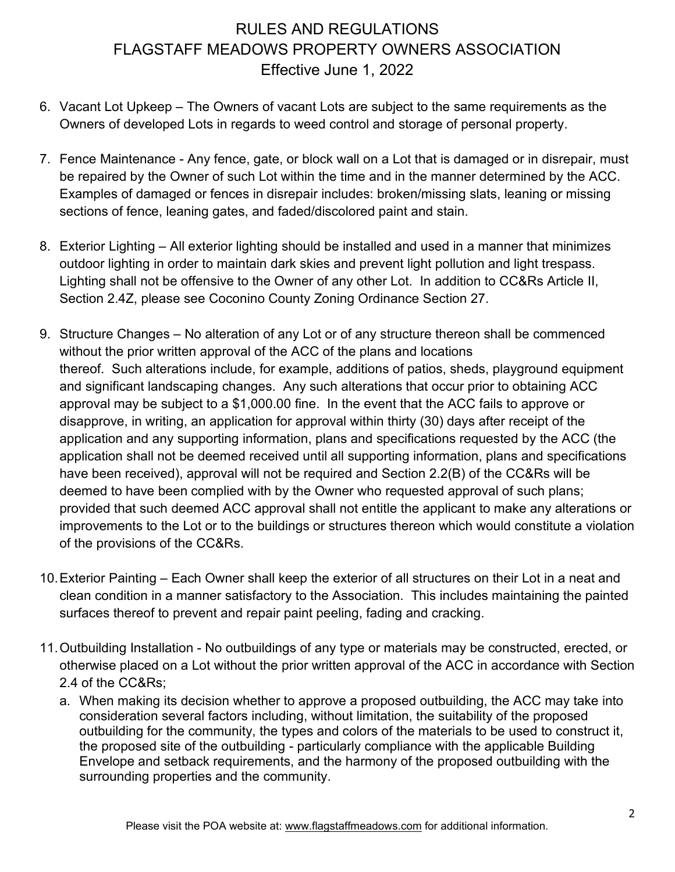## RULES AND REGULATIONS FLAGSTAFF MEADOWS PROPERTY OWNERS ASSOCIATION Effective June 1, 2022

- 6. Vacant Lot Upkeep The Owners of vacant Lots are subject to the same requirements as the Owners of developed Lots in regards to weed control and storage of personal property.
- 7. Fence Maintenance Any fence, gate, or block wall on a Lot that is damaged or in disrepair, must be repaired by the Owner of such Lot within the time and in the manner determined by the ACC. Examples of damaged or fences in disrepair includes: broken/missing slats, leaning or missing sections of fence, leaning gates, and faded/discolored paint and stain.
- 8. Exterior Lighting All exterior lighting should be installed and used in a manner that minimizes outdoor lighting in order to maintain dark skies and prevent light pollution and light trespass. Lighting shall not be offensive to the Owner of any other Lot. In addition to CC&Rs Article II, Section 2.4Z, please see Coconino County Zoning Ordinance Section 27.
- 9. Structure Changes No alteration of any Lot or of any structure thereon shall be commenced without the prior written approval of the ACC of the plans and locations thereof. Such alterations include, for example, additions of patios, sheds, playground equipment and significant landscaping changes. Any such alterations that occur prior to obtaining ACC approval may be subject to a \$1,000.00 fine. In the event that the ACC fails to approve or disapprove, in writing, an application for approval within thirty (30) days after receipt of the application and any supporting information, plans and specifications requested by the ACC (the application shall not be deemed received until all supporting information, plans and specifications have been received), approval will not be required and Section 2.2(B) of the CC&Rs will be deemed to have been complied with by the Owner who requested approval of such plans; provided that such deemed ACC approval shall not entitle the applicant to make any alterations or improvements to the Lot or to the buildings or structures thereon which would constitute a violation of the provisions of the CC&Rs.
- 10.Exterior Painting Each Owner shall keep the exterior of all structures on their Lot in a neat and clean condition in a manner satisfactory to the Association. This includes maintaining the painted surfaces thereof to prevent and repair paint peeling, fading and cracking.
- 11.Outbuilding Installation No outbuildings of any type or materials may be constructed, erected, or otherwise placed on a Lot without the prior written approval of the ACC in accordance with Section 2.4 of the CC&Rs;
	- a. When making its decision whether to approve a proposed outbuilding, the ACC may take into consideration several factors including, without limitation, the suitability of the proposed outbuilding for the community, the types and colors of the materials to be used to construct it, the proposed site of the outbuilding - particularly compliance with the applicable Building Envelope and setback requirements, and the harmony of the proposed outbuilding with the surrounding properties and the community.